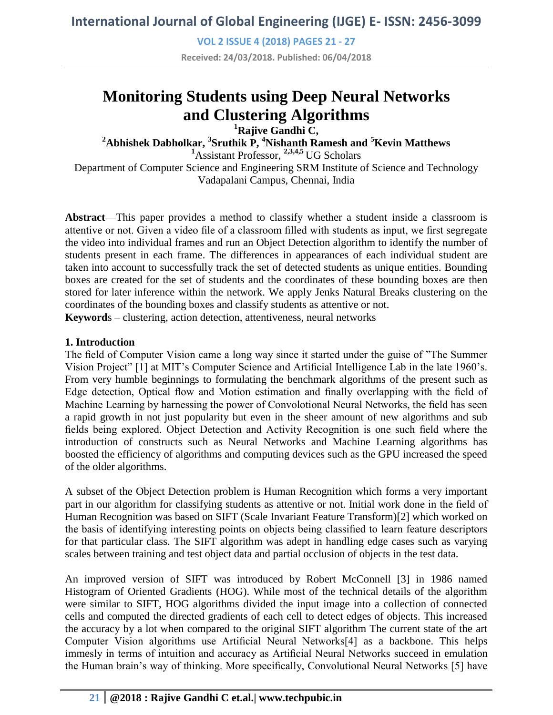**VOL 2 ISSUE 4 (2018) PAGES 21 - 27**

**Received: 24/03/2018. Published: 06/04/2018**

# **Monitoring Students using Deep Neural Networks and Clustering Algorithms**

**<sup>1</sup>Rajive Gandhi C,** 

**<sup>2</sup>Abhishek Dabholkar, <sup>3</sup> Sruthik P, <sup>4</sup>Nishanth Ramesh and <sup>5</sup>Kevin Matthews**

**<sup>1</sup>**Assistant Professor, **2,3,4,5** UG Scholars

Department of Computer Science and Engineering SRM Institute of Science and Technology Vadapalani Campus, Chennai, India

**Abstract**—This paper provides a method to classify whether a student inside a classroom is attentive or not. Given a video file of a classroom filled with students as input, we first segregate the video into individual frames and run an Object Detection algorithm to identify the number of students present in each frame. The differences in appearances of each individual student are taken into account to successfully track the set of detected students as unique entities. Bounding boxes are created for the set of students and the coordinates of these bounding boxes are then stored for later inference within the network. We apply Jenks Natural Breaks clustering on the coordinates of the bounding boxes and classify students as attentive or not.

**Keyword**s – clustering, action detection, attentiveness, neural networks

## **1. Introduction**

The field of Computer Vision came a long way since it started under the guise of "The Summer Vision Project" [1] at MIT's Computer Science and Artificial Intelligence Lab in the late 1960's. From very humble beginnings to formulating the benchmark algorithms of the present such as Edge detection, Optical flow and Motion estimation and finally overlapping with the field of Machine Learning by harnessing the power of Convolotional Neural Networks, the field has seen a rapid growth in not just popularity but even in the sheer amount of new algorithms and sub fields being explored. Object Detection and Activity Recognition is one such field where the introduction of constructs such as Neural Networks and Machine Learning algorithms has boosted the efficiency of algorithms and computing devices such as the GPU increased the speed of the older algorithms.

A subset of the Object Detection problem is Human Recognition which forms a very important part in our algorithm for classifying students as attentive or not. Initial work done in the field of Human Recognition was based on SIFT (Scale Invariant Feature Transform)[2] which worked on the basis of identifying interesting points on objects being classified to learn feature descriptors for that particular class. The SIFT algorithm was adept in handling edge cases such as varying scales between training and test object data and partial occlusion of objects in the test data.

An improved version of SIFT was introduced by Robert McConnell [3] in 1986 named Histogram of Oriented Gradients (HOG). While most of the technical details of the algorithm were similar to SIFT, HOG algorithms divided the input image into a collection of connected cells and computed the directed gradients of each cell to detect edges of objects. This increased the accuracy by a lot when compared to the original SIFT algorithm The current state of the art Computer Vision algorithms use Artificial Neural Networks[4] as a backbone. This helps immesly in terms of intuition and accuracy as Artificial Neural Networks succeed in emulation the Human brain's way of thinking. More specifically, Convolutional Neural Networks [5] have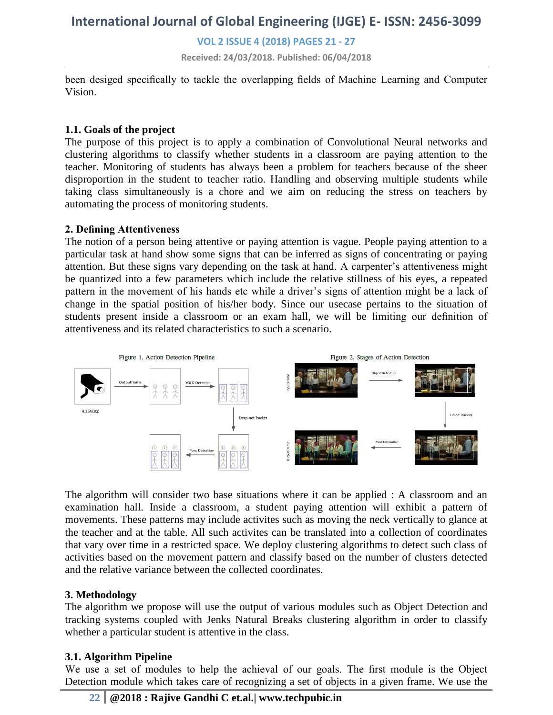**VOL 2 ISSUE 4 (2018) PAGES 21 - 27**

**Received: 24/03/2018. Published: 06/04/2018**

been desiged specifically to tackle the overlapping fields of Machine Learning and Computer Vision.

### **1.1. Goals of the project**

The purpose of this project is to apply a combination of Convolutional Neural networks and clustering algorithms to classify whether students in a classroom are paying attention to the teacher. Monitoring of students has always been a problem for teachers because of the sheer disproportion in the student to teacher ratio. Handling and observing multiple students while taking class simultaneously is a chore and we aim on reducing the stress on teachers by automating the process of monitoring students.

#### **2. Defining Attentiveness**

The notion of a person being attentive or paying attention is vague. People paying attention to a particular task at hand show some signs that can be inferred as signs of concentrating or paying attention. But these signs vary depending on the task at hand. A carpenter's attentiveness might be quantized into a few parameters which include the relative stillness of his eyes, a repeated pattern in the movement of his hands etc while a driver's signs of attention might be a lack of change in the spatial position of his/her body. Since our usecase pertains to the situation of students present inside a classroom or an exam hall, we will be limiting our definition of attentiveness and its related characteristics to such a scenario.



The algorithm will consider two base situations where it can be applied : A classroom and an examination hall. Inside a classroom, a student paying attention will exhibit a pattern of movements. These patterns may include activites such as moving the neck vertically to glance at the teacher and at the table. All such activites can be translated into a collection of coordinates that vary over time in a restricted space. We deploy clustering algorithms to detect such class of activities based on the movement pattern and classify based on the number of clusters detected and the relative variance between the collected coordinates.

#### **3. Methodology**

The algorithm we propose will use the output of various modules such as Object Detection and tracking systems coupled with Jenks Natural Breaks clustering algorithm in order to classify whether a particular student is attentive in the class.

## **3.1. Algorithm Pipeline**

We use a set of modules to help the achieval of our goals. The first module is the Object Detection module which takes care of recognizing a set of objects in a given frame. We use the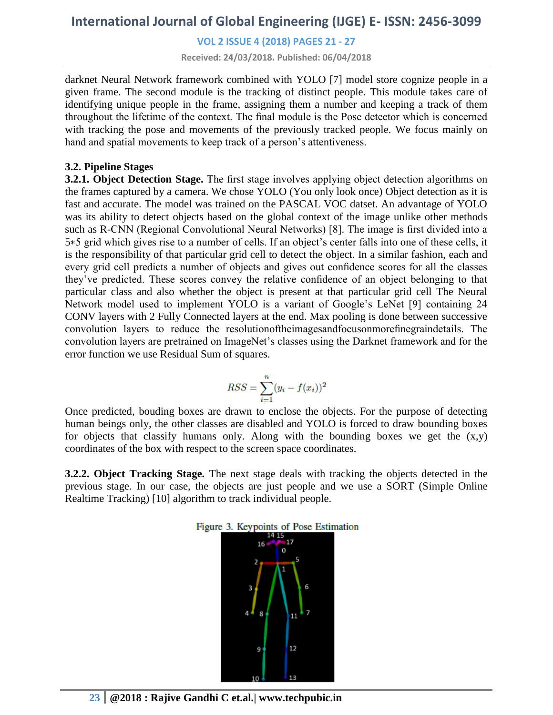**VOL 2 ISSUE 4 (2018) PAGES 21 - 27**

**Received: 24/03/2018. Published: 06/04/2018**

darknet Neural Network framework combined with YOLO [7] model store cognize people in a given frame. The second module is the tracking of distinct people. This module takes care of identifying unique people in the frame, assigning them a number and keeping a track of them throughout the lifetime of the context. The final module is the Pose detector which is concerned with tracking the pose and movements of the previously tracked people. We focus mainly on hand and spatial movements to keep track of a person's attentiveness.

## **3.2. Pipeline Stages**

**3.2.1. Object Detection Stage.** The first stage involves applying object detection algorithms on the frames captured by a camera. We chose YOLO (You only look once) Object detection as it is fast and accurate. The model was trained on the PASCAL VOC datset. An advantage of YOLO was its ability to detect objects based on the global context of the image unlike other methods such as R-CNN (Regional Convolutional Neural Networks) [8]. The image is first divided into a 5∗5 grid which gives rise to a number of cells. If an object's center falls into one of these cells, it is the responsibility of that particular grid cell to detect the object. In a similar fashion, each and every grid cell predicts a number of objects and gives out confidence scores for all the classes they've predicted. These scores convey the relative confidence of an object belonging to that particular class and also whether the object is present at that particular grid cell The Neural Network model used to implement YOLO is a variant of Google's LeNet [9] containing 24 CONV layers with 2 Fully Connected layers at the end. Max pooling is done between successive convolution layers to reduce the resolutionoftheimagesandfocusonmorefinegraindetails. The convolution layers are pretrained on ImageNet's classes using the Darknet framework and for the error function we use Residual Sum of squares.

$$
RSS = \sum_{i=1}^{n} (y_i - f(x_i))^2
$$

Once predicted, bouding boxes are drawn to enclose the objects. For the purpose of detecting human beings only, the other classes are disabled and YOLO is forced to draw bounding boxes for objects that classify humans only. Along with the bounding boxes we get the (x,y) coordinates of the box with respect to the screen space coordinates.

**3.2.2. Object Tracking Stage.** The next stage deals with tracking the objects detected in the previous stage. In our case, the objects are just people and we use a SORT (Simple Online Realtime Tracking) [10] algorithm to track individual people.

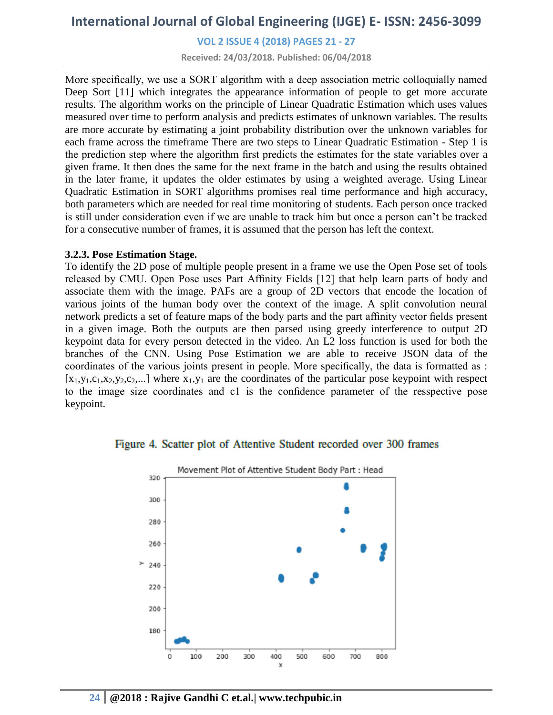## **VOL 2 ISSUE 4 (2018) PAGES 21 - 27**

**Received: 24/03/2018. Published: 06/04/2018**

More specifically, we use a SORT algorithm with a deep association metric colloquially named Deep Sort [11] which integrates the appearance information of people to get more accurate results. The algorithm works on the principle of Linear Quadratic Estimation which uses values measured over time to perform analysis and predicts estimates of unknown variables. The results are more accurate by estimating a joint probability distribution over the unknown variables for each frame across the timeframe There are two steps to Linear Quadratic Estimation - Step 1 is the prediction step where the algorithm first predicts the estimates for the state variables over a given frame. It then does the same for the next frame in the batch and using the results obtained in the later frame, it updates the older estimates by using a weighted average. Using Linear Quadratic Estimation in SORT algorithms promises real time performance and high accuracy, both parameters which are needed for real time monitoring of students. Each person once tracked is still under consideration even if we are unable to track him but once a person can't be tracked for a consecutive number of frames, it is assumed that the person has left the context.

#### **3.2.3. Pose Estimation Stage.**

To identify the 2D pose of multiple people present in a frame we use the Open Pose set of tools released by CMU. Open Pose uses Part Affinity Fields [12] that help learn parts of body and associate them with the image. PAFs are a group of 2D vectors that encode the location of various joints of the human body over the context of the image. A split convolution neural network predicts a set of feature maps of the body parts and the part affinity vector fields present in a given image. Both the outputs are then parsed using greedy interference to output 2D keypoint data for every person detected in the video. An L2 loss function is used for both the branches of the CNN. Using Pose Estimation we are able to receive JSON data of the coordinates of the various joints present in people. More specifically, the data is formatted as :  $[x_1,y_1,c_1,x_2,y_2,c_2,...]$  where  $x_1,y_1$  are the coordinates of the particular pose keypoint with respect to the image size coordinates and c1 is the confidence parameter of the resspective pose keypoint.

#### Figure 4. Scatter plot of Attentive Student recorded over 300 frames

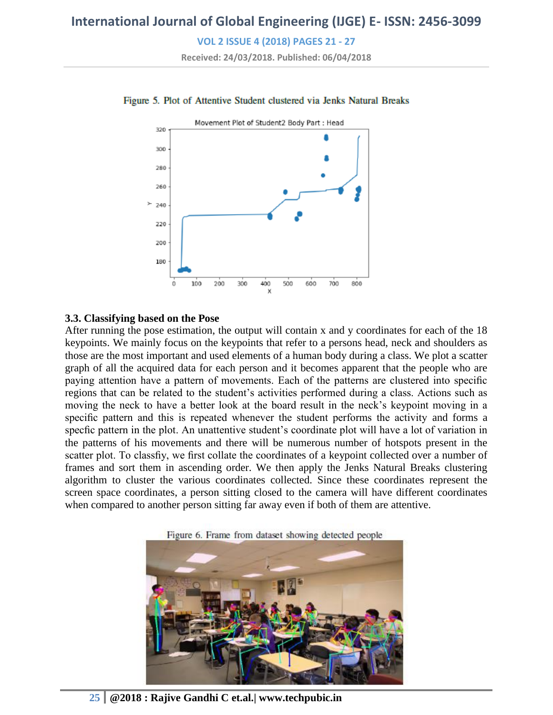**VOL 2 ISSUE 4 (2018) PAGES 21 - 27**

**Received: 24/03/2018. Published: 06/04/2018**



#### Figure 5. Plot of Attentive Student clustered via Jenks Natural Breaks

#### **3.3. Classifying based on the Pose**

After running the pose estimation, the output will contain x and y coordinates for each of the 18 keypoints. We mainly focus on the keypoints that refer to a persons head, neck and shoulders as those are the most important and used elements of a human body during a class. We plot a scatter graph of all the acquired data for each person and it becomes apparent that the people who are paying attention have a pattern of movements. Each of the patterns are clustered into specific regions that can be related to the student's activities performed during a class. Actions such as moving the neck to have a better look at the board result in the neck's keypoint moving in a specific pattern and this is repeated whenever the student performs the activity and forms a specfic pattern in the plot. An unattentive student's coordinate plot will have a lot of variation in the patterns of his movements and there will be numerous number of hotspots present in the scatter plot. To classfiy, we first collate the coordinates of a keypoint collected over a number of frames and sort them in ascending order. We then apply the Jenks Natural Breaks clustering algorithm to cluster the various coordinates collected. Since these coordinates represent the screen space coordinates, a person sitting closed to the camera will have different coordinates when compared to another person sitting far away even if both of them are attentive.

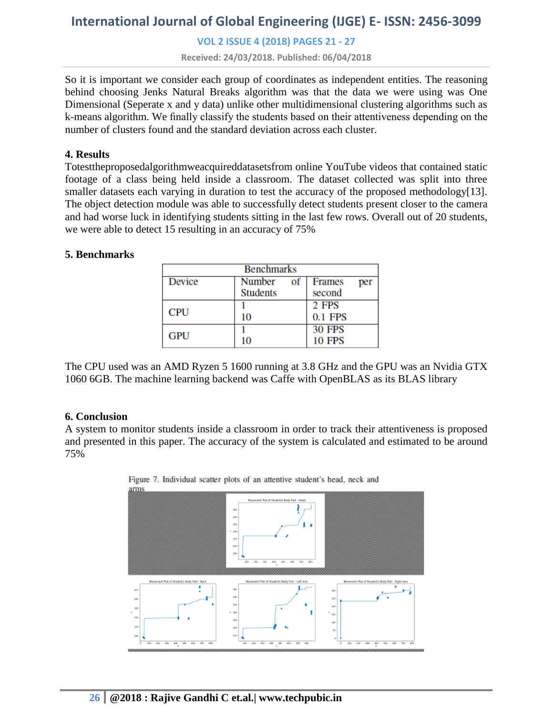## **VOL 2 ISSUE 4 (2018) PAGES 21 - 27**

**Received: 24/03/2018. Published: 06/04/2018**

So it is important we consider each group of coordinates as independent entities. The reasoning behind choosing Jenks Natural Breaks algorithm was that the data we were using was One Dimensional (Seperate x and y data) unlike other multidimensional clustering algorithms such as k-means algorithm. We finally classify the students based on their attentiveness depending on the number of clusters found and the standard deviation across each cluster.

#### **4. Results**

Totesttheproposedalgorithmweacquireddatasetsfrom online YouTube videos that contained static footage of a class being held inside a classroom. The dataset collected was split into three smaller datasets each varying in duration to test the accuracy of the proposed methodology[13]. The object detection module was able to successfully detect students present closer to the camera and had worse luck in identifying students sitting in the last few rows. Overall out of 20 students, we were able to detect 15 resulting in an accuracy of 75%

#### **5. Benchmarks**

| <b>Benchmarks</b> |                 |               |
|-------------------|-----------------|---------------|
| Device            | Number<br>of    | Frames<br>per |
|                   | <b>Students</b> | second        |
| <b>CPU</b>        |                 | 2 FPS         |
|                   | 10              | 0.1 FPS       |
| <b>GPU</b>        |                 | <b>30 FPS</b> |
|                   | 10              | <b>10 FPS</b> |

The CPU used was an AMD Ryzen 5 1600 running at 3.8 GHz and the GPU was an Nvidia GTX 1060 6GB. The machine learning backend was Caffe with OpenBLAS as its BLAS library

#### **6. Conclusion**

A system to monitor students inside a classroom in order to track their attentiveness is proposed and presented in this paper. The accuracy of the system is calculated and estimated to be around 75%